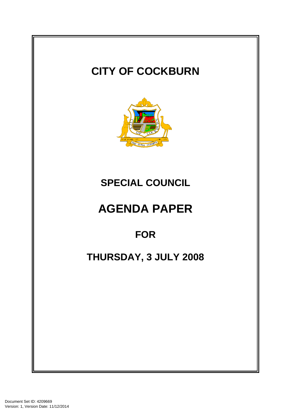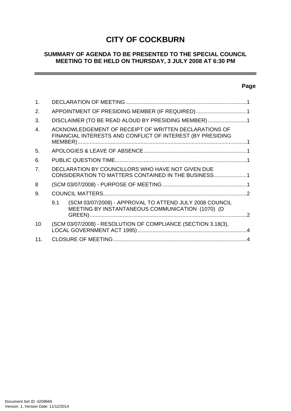# **CITY OF COCKBURN**

# **SUMMARY OF AGENDA TO BE PRESENTED TO THE SPECIAL COUNCIL MEETING TO BE HELD ON THURSDAY, 3 JULY 2008 AT 6:30 PM**

# **Page**

÷

| $\mathbf{1}$ . |                                                                                                                     |  |
|----------------|---------------------------------------------------------------------------------------------------------------------|--|
| 2.             | APPOINTMENT OF PRESIDING MEMBER (IF REQUIRED)1                                                                      |  |
| 3.             | DISCLAIMER (TO BE READ ALOUD BY PRESIDING MEMBER)1                                                                  |  |
| $\mathbf{4}$   | ACKNOWLEDGEMENT OF RECEIPT OF WRITTEN DECLARATIONS OF<br>FINANCIAL INTERESTS AND CONFLICT OF INTEREST (BY PRESIDING |  |
| 5.             |                                                                                                                     |  |
| 6.             |                                                                                                                     |  |
| 7 <sub>1</sub> | DECLARATION BY COUNCILLORS WHO HAVE NOT GIVEN DUE<br>CONSIDERATION TO MATTERS CONTAINED IN THE BUSINESS1            |  |
| 8              |                                                                                                                     |  |
| 9.             |                                                                                                                     |  |
|                | (SCM 03/07/2008) - APPROVAL TO ATTEND JULY 2008 COUNCIL<br>9.1<br>MEETING BY INSTANTANEOUS COMMUNICATION (1070) (D  |  |
| 10             | (SCM 03/07/2008) - RESOLUTION OF COMPLIANCE (SECTION 3.18(3),                                                       |  |
| 11.            |                                                                                                                     |  |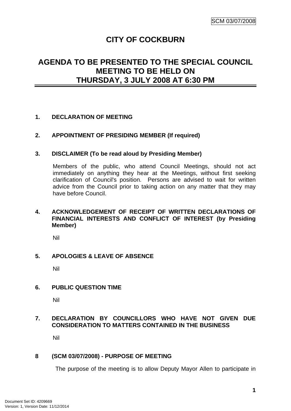# **CITY OF COCKBURN**

# <span id="page-2-0"></span>**AGENDA TO BE PRESENTED TO THE SPECIAL COUNCIL MEETING TO BE HELD ON THURSDAY, 3 JULY 2008 AT 6:30 PM**

## **1. DECLARATION OF MEETING**

## **2. APPOINTMENT OF PRESIDING MEMBER (If required)**

#### **3. DISCLAIMER (To be read aloud by Presiding Member)**

Members of the public, who attend Council Meetings, should not act immediately on anything they hear at the Meetings, without first seeking clarification of Council's position. Persons are advised to wait for written advice from the Council prior to taking action on any matter that they may have before Council.

## **4. ACKNOWLEDGEMENT OF RECEIPT OF WRITTEN DECLARATIONS OF FINANCIAL INTERESTS AND CONFLICT OF INTEREST (by Presiding Member)**

Nil

## **5. APOLOGIES & LEAVE OF ABSENCE**

Nil

#### **6. PUBLIC QUESTION TIME**

Nil

## **7. DECLARATION BY COUNCILLORS WHO HAVE NOT GIVEN DUE CONSIDERATION TO MATTERS CONTAINED IN THE BUSINESS**

Nil

#### **8 (SCM 03/07/2008) - PURPOSE OF MEETING**

The purpose of the meeting is to allow Deputy Mayor Allen to participate in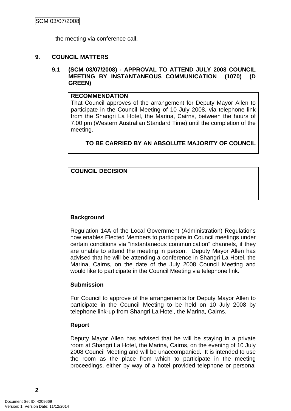the meeting via conference call.

#### <span id="page-3-0"></span>**9. COUNCIL MATTERS**

#### **9.1 (SCM 03/07/2008) - APPROVAL TO ATTEND JULY 2008 COUNCIL MEETING BY INSTANTANEOUS COMMUNICATION (1070) (D GREEN)**

#### **RECOMMENDATION**

That Council approves of the arrangement for Deputy Mayor Allen to participate in the Council Meeting of 10 July 2008, via telephone link from the Shangri La Hotel, the Marina, Cairns, between the hours of 7.00 pm (Western Australian Standard Time) until the completion of the meeting.

# **TO BE CARRIED BY AN ABSOLUTE MAJORITY OF COUNCIL**

**COUNCIL DECISION**

#### **Background**

Regulation 14A of the Local Government (Administration) Regulations now enables Elected Members to participate in Council meetings under certain conditions via "instantaneous communication" channels, if they are unable to attend the meeting in person. Deputy Mayor Allen has advised that he will be attending a conference in Shangri La Hotel, the Marina, Cairns, on the date of the July 2008 Council Meeting and would like to participate in the Council Meeting via telephone link.

#### **Submission**

For Council to approve of the arrangements for Deputy Mayor Allen to participate in the Council Meeting to be held on 10 July 2008 by telephone link-up from Shangri La Hotel, the Marina, Cairns.

#### **Report**

Deputy Mayor Allen has advised that he will be staying in a private room at Shangri La Hotel, the Marina, Cairns, on the evening of 10 July 2008 Council Meeting and will be unaccompanied. It is intended to use the room as the place from which to participate in the meeting proceedings, either by way of a hotel provided telephone or personal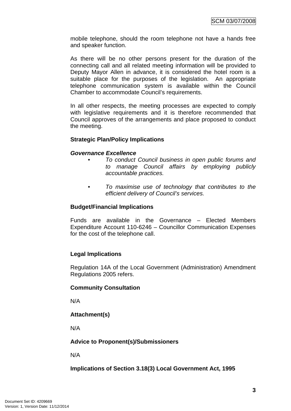mobile telephone, should the room telephone not have a hands free and speaker function.

As there will be no other persons present for the duration of the connecting call and all related meeting information will be provided to Deputy Mayor Allen in advance, it is considered the hotel room is a suitable place for the purposes of the legislation. An appropriate telephone communication system is available within the Council Chamber to accommodate Council's requirements.

In all other respects, the meeting processes are expected to comply with legislative requirements and it is therefore recommended that Council approves of the arrangements and place proposed to conduct the meeting.

#### **Strategic Plan/Policy Implications**

#### *Governance Excellence*

- *To conduct Council business in open public forums and to manage Council affairs by employing publicly accountable practices.*
- *To maximise use of technology that contributes to the efficient delivery of Council's services.*

#### **Budget/Financial Implications**

Funds are available in the Governance – Elected Members Expenditure Account 110-6246 – Councillor Communication Expenses for the cost of the telephone call.

#### **Legal Implications**

Regulation 14A of the Local Government (Administration) Amendment Regulations 2005 refers.

#### **Community Consultation**

N/A

# **Attachment(s)**

N/A

#### **Advice to Proponent(s)/Submissioners**

N/A

#### **Implications of Section 3.18(3) Local Government Act, 1995**